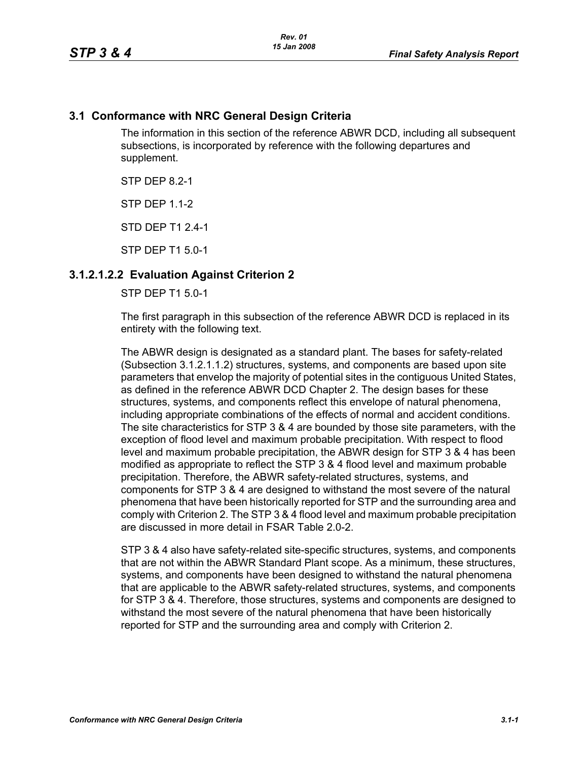#### **3.1 Conformance with NRC General Design Criteria**

The information in this section of the reference ABWR DCD, including all subsequent subsections, is incorporated by reference with the following departures and supplement.

STP DFP 82-1

**STP DFP 1 1-2** 

STD DEP T1 2.4-1

STP DEP T1 5.0-1

### **3.1.2.1.2.2 Evaluation Against Criterion 2**

STP DEP T1 5.0-1

The first paragraph in this subsection of the reference ABWR DCD is replaced in its entirety with the following text.

The ABWR design is designated as a standard plant. The bases for safety-related (Subsection 3.1.2.1.1.2) structures, systems, and components are based upon site parameters that envelop the majority of potential sites in the contiguous United States, as defined in the reference ABWR DCD Chapter 2. The design bases for these structures, systems, and components reflect this envelope of natural phenomena, including appropriate combinations of the effects of normal and accident conditions. The site characteristics for STP 3 & 4 are bounded by those site parameters, with the exception of flood level and maximum probable precipitation. With respect to flood level and maximum probable precipitation, the ABWR design for STP 3 & 4 has been modified as appropriate to reflect the STP 3 & 4 flood level and maximum probable precipitation. Therefore, the ABWR safety-related structures, systems, and components for STP 3 & 4 are designed to withstand the most severe of the natural phenomena that have been historically reported for STP and the surrounding area and comply with Criterion 2. The STP 3 & 4 flood level and maximum probable precipitation are discussed in more detail in FSAR Table 2.0-2.

STP 3 & 4 also have safety-related site-specific structures, systems, and components that are not within the ABWR Standard Plant scope. As a minimum, these structures, systems, and components have been designed to withstand the natural phenomena that are applicable to the ABWR safety-related structures, systems, and components for STP 3 & 4. Therefore, those structures, systems and components are designed to withstand the most severe of the natural phenomena that have been historically reported for STP and the surrounding area and comply with Criterion 2.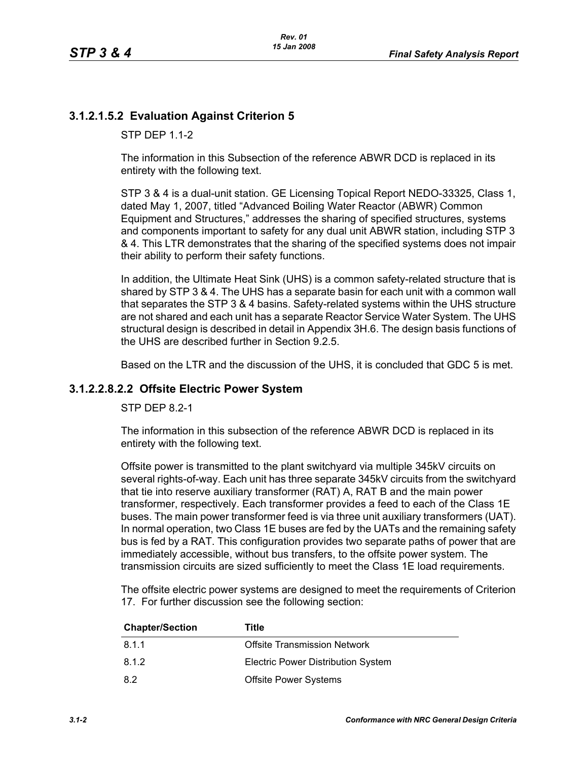## **3.1.2.1.5.2 Evaluation Against Criterion 5**

**STP DFP 11-2** 

The information in this Subsection of the reference ABWR DCD is replaced in its entirety with the following text.

STP 3 & 4 is a dual-unit station. GE Licensing Topical Report NEDO-33325, Class 1, dated May 1, 2007, titled "Advanced Boiling Water Reactor (ABWR) Common Equipment and Structures," addresses the sharing of specified structures, systems and components important to safety for any dual unit ABWR station, including STP 3 & 4. This LTR demonstrates that the sharing of the specified systems does not impair their ability to perform their safety functions.

In addition, the Ultimate Heat Sink (UHS) is a common safety-related structure that is shared by STP 3 & 4. The UHS has a separate basin for each unit with a common wall that separates the STP 3 & 4 basins. Safety-related systems within the UHS structure are not shared and each unit has a separate Reactor Service Water System. The UHS structural design is described in detail in Appendix 3H.6. The design basis functions of the UHS are described further in Section 9.2.5.

Based on the LTR and the discussion of the UHS, it is concluded that GDC 5 is met.

### **3.1.2.2.8.2.2 Offsite Electric Power System**

STP DEP 8.2-1

The information in this subsection of the reference ABWR DCD is replaced in its entirety with the following text.

Offsite power is transmitted to the plant switchyard via multiple 345kV circuits on several rights-of-way. Each unit has three separate 345kV circuits from the switchyard that tie into reserve auxiliary transformer (RAT) A, RAT B and the main power transformer, respectively. Each transformer provides a feed to each of the Class 1E buses. The main power transformer feed is via three unit auxiliary transformers (UAT). In normal operation, two Class 1E buses are fed by the UATs and the remaining safety bus is fed by a RAT. This configuration provides two separate paths of power that are immediately accessible, without bus transfers, to the offsite power system. The transmission circuits are sized sufficiently to meet the Class 1E load requirements.

The offsite electric power systems are designed to meet the requirements of Criterion 17. For further discussion see the following section:

| <b>Chapter/Section</b> | Title                                     |
|------------------------|-------------------------------------------|
| 8.1.1                  | <b>Offsite Transmission Network</b>       |
| 8.1.2                  | <b>Electric Power Distribution System</b> |
| 8.2                    | <b>Offsite Power Systems</b>              |